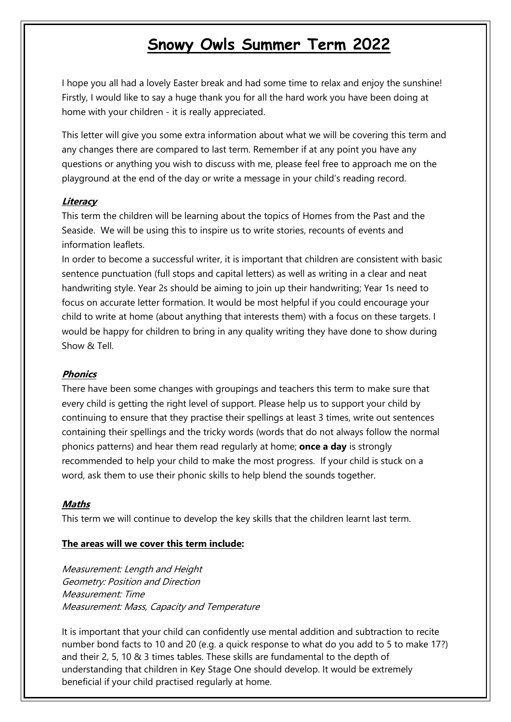# **Snowy Owls Summer Term 2022**

I hope you all had a lovely Easter break and had some time to relax and enjoy the sunshine! Firstly, I would like to say a huge thank you for all the hard work you have been doing at home with your children - it is really appreciated.

This letter will give you some extra information about what we will be covering this term and any changes there are compared to last term. Remember if at any point you have any questions or anything you wish to discuss with me, please feel free to approach me on the playground at the end of the day or write a message in your child's reading record.

#### **Literacy**

This term the children will be learning about the topics of Homes from the Past and the Seaside. We will be using this to inspire us to write stories, recounts of events and information leaflets.

In order to become a successful writer, it is important that children are consistent with basic sentence punctuation (full stops and capital letters) as well as writing in a clear and neat handwriting style. Year 2s should be aiming to join up their handwriting; Year 1s need to focus on accurate letter formation. It would be most helpful if you could encourage your child to write at home (about anything that interests them) with a focus on these targets. I would be happy for children to bring in any quality writing they have done to show during Show & Tell

#### **Phonics**

There have been some changes with groupings and teachers this term to make sure that every child is getting the right level of support. Please help us to support your child by continuing to ensure that they practise their spellings at least 3 times, write out sentences containing their spellings and the tricky words (words that do not always follow the normal phonics patterns) and hear them read regularly at home; **once a day** is strongly recommended to help your child to make the most progress. If your child is stuck on a word, ask them to use their phonic skills to help blend the sounds together.

#### **Maths**

This term we will continue to develop the key skills that the children learnt last term.

#### **The areas will we cover this term include:**

Measurement: Length and Height Geometry: Position and Direction Measurement: Time Measurement: Mass, Capacity and Temperature

It is important that your child can confidently use mental addition and subtraction to recite number bond facts to 10 and 20 (e.g. a quick response to what do you add to 5 to make 17?) and their 2, 5, 10 & 3 times tables. These skills are fundamental to the depth of understanding that children in Key Stage One should develop. It would be extremely beneficial if your child practised regularly at home.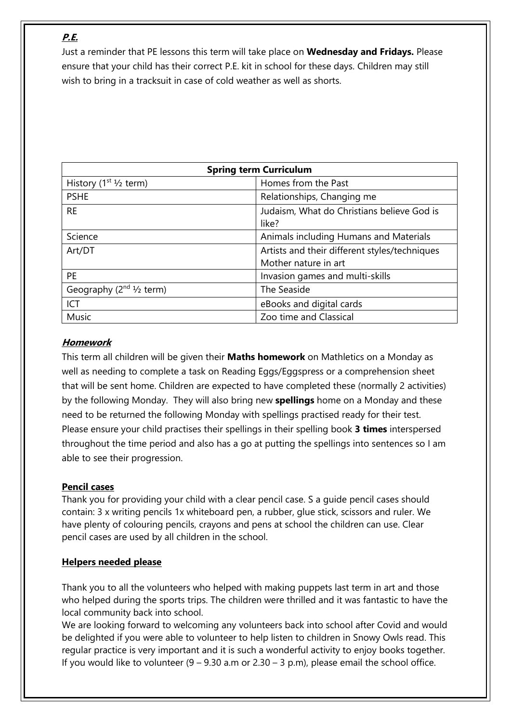# **P.E.**

Just a reminder that PE lessons this term will take place on **Wednesday and Fridays.** Please ensure that your child has their correct P.E. kit in school for these days. Children may still wish to bring in a tracksuit in case of cold weather as well as shorts.

| <b>Spring term Curriculum</b>          |                                                     |
|----------------------------------------|-----------------------------------------------------|
| History $(1st 1/2$ term)               | Homes from the Past                                 |
| <b>PSHE</b>                            | Relationships, Changing me                          |
| <b>RE</b>                              | Judaism, What do Christians believe God is<br>like? |
| Science                                | Animals including Humans and Materials              |
| Art/DT                                 | Artists and their different styles/techniques       |
|                                        | Mother nature in art                                |
| <b>PE</b>                              | Invasion games and multi-skills                     |
| Geography $(2^{nd} \frac{1}{2})$ term) | The Seaside                                         |
| <b>ICT</b>                             | eBooks and digital cards                            |
| Music                                  | Zoo time and Classical                              |

### **Homework**

This term all children will be given their **Maths homework** on Mathletics on a Monday as well as needing to complete a task on Reading Eggs/Eggspress or a comprehension sheet that will be sent home. Children are expected to have completed these (normally 2 activities) by the following Monday. They will also bring new **spellings** home on a Monday and these need to be returned the following Monday with spellings practised ready for their test. Please ensure your child practises their spellings in their spelling book **3 times** interspersed throughout the time period and also has a go at putting the spellings into sentences so I am able to see their progression.

### **Pencil cases**

Thank you for providing your child with a clear pencil case. S a guide pencil cases should contain: 3 x writing pencils 1x whiteboard pen, a rubber, glue stick, scissors and ruler. We have plenty of colouring pencils, crayons and pens at school the children can use. Clear pencil cases are used by all children in the school.

## **Helpers needed please**

Thank you to all the volunteers who helped with making puppets last term in art and those who helped during the sports trips. The children were thrilled and it was fantastic to have the local community back into school.

We are looking forward to welcoming any volunteers back into school after Covid and would be delighted if you were able to volunteer to help listen to children in Snowy Owls read. This regular practice is very important and it is such a wonderful activity to enjoy books together. If you would like to volunteer  $(9 - 9.30 \text{ a.m or } 2.30 - 3 \text{ p.m})$ , please email the school office.